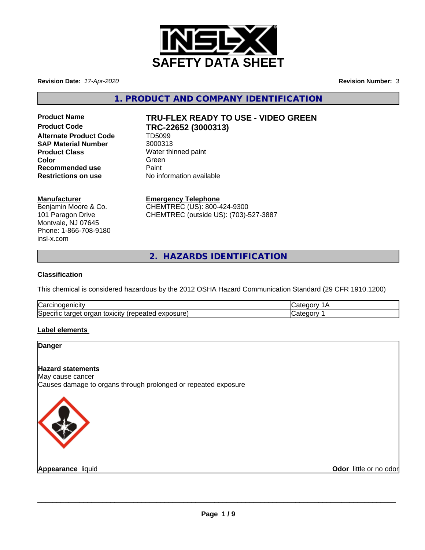

**Revision Date:** *17-Apr-2020* **Revision Number:** *3*

**1. PRODUCT AND COMPANY IDENTIFICATION**

**Alternate Product Code TD5099**<br> **SAP Material Number** 3000313 **SAP Material Number Product Class** Water thinned paint<br> **Color** Green **Color** Green Green Green Green Color **Recommended use** Paint

# **Product Name TRU-FLEX READY TO USE - VIDEO GREEN Product Code TRC-22652 (3000313)**

**Restrictions on use** No information available

# **Manufacturer**

Benjamin Moore & Co. 101 Paragon Drive Montvale, NJ 07645 Phone: 1-866-708-9180 insl-x.com

**Emergency Telephone** CHEMTREC (US): 800-424-9300 CHEMTREC (outside US): (703)-527-3887

**2. HAZARDS IDENTIFICATION**

## **Classification**

This chemical is considered hazardous by the 2012 OSHA Hazard Communication Standard (29 CFR 1910.1200)

| ∽<br>$-$<br>ar⁄~<br><b>TICILV</b><br>ствоое                                                | и       |
|--------------------------------------------------------------------------------------------|---------|
| <b>Spe</b><br>exposure.<br><b>(OXICITV</b><br>. enearen :<br>-кат<br>шы<br>ΩГ<br>. idrue i | . 16 11 |

# **Label elements**

## **Danger**

# **Hazard statements**

May cause cancer

Causes damage to organs through prolonged or repeated exposure



**Appearance** liquid

**Odor** little or no odor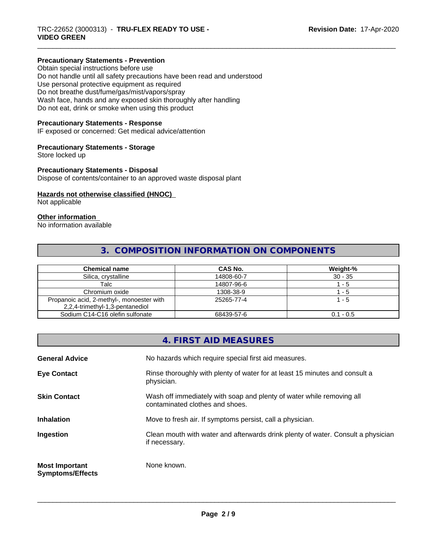#### **Precautionary Statements - Prevention**

Obtain special instructions before use Do not handle until all safety precautions have been read and understood Use personal protective equipment as required Do not breathe dust/fume/gas/mist/vapors/spray Wash face, hands and any exposed skin thoroughly after handling Do not eat, drink or smoke when using this product

#### **Precautionary Statements - Response**

IF exposed or concerned: Get medical advice/attention

### **Precautionary Statements - Storage**

Store locked up

#### **Precautionary Statements - Disposal**

Dispose of contents/container to an approved waste disposal plant

#### **Hazards not otherwise classified (HNOC)**

Not applicable

#### **Other information**

No information available

# **3. COMPOSITION INFORMATION ON COMPONENTS**

| <b>Chemical name</b>                                                         | CAS No.    | Weight-%    |
|------------------------------------------------------------------------------|------------|-------------|
| Silica, crystalline                                                          | 14808-60-7 | $30 - 35$   |
| Talc                                                                         | 14807-96-6 | - 5         |
| Chromium oxide                                                               | 1308-38-9  | - 5         |
| Propanoic acid, 2-methyl-, monoester with<br>2,2,4-trimethyl-1,3-pentanediol | 25265-77-4 | $\cdot$ - 5 |
| Sodium C14-C16 olefin sulfonate                                              | 68439-57-6 | $0.1 - 0.5$ |

# **4. FIRST AID MEASURES General Advice** No hazards which require special first aid measures. **Eye Contact Rinse thoroughly with plenty of water for at least 15 minutes and consult a** physician. **Skin Contact** With Soap and plenty of water while removing all vertex while removing all contaminated clothes and shoes. **Inhalation** Move to fresh air. If symptoms persist, call a physician. **Ingestion Example 2** Clean mouth with water and afterwards drink plenty of water. Consult a physician if necessary. **Most Important Symptoms/Effects** None known.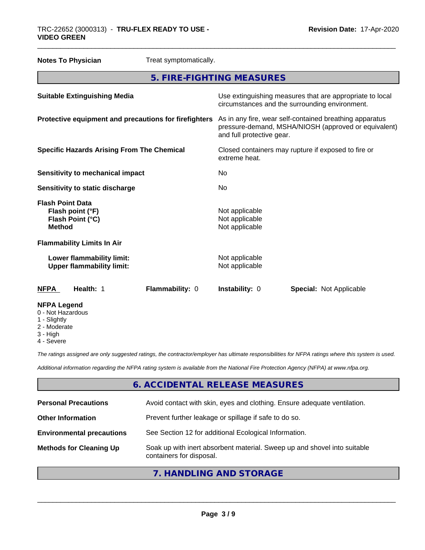| <b>Notes To Physician</b>                                                        | Treat symptomatically.    |                                                    |                                                                                                                 |
|----------------------------------------------------------------------------------|---------------------------|----------------------------------------------------|-----------------------------------------------------------------------------------------------------------------|
|                                                                                  | 5. FIRE-FIGHTING MEASURES |                                                    |                                                                                                                 |
| <b>Suitable Extinguishing Media</b>                                              |                           |                                                    | Use extinguishing measures that are appropriate to local<br>circumstances and the surrounding environment.      |
| Protective equipment and precautions for firefighters                            |                           | and full protective gear.                          | As in any fire, wear self-contained breathing apparatus<br>pressure-demand, MSHA/NIOSH (approved or equivalent) |
| <b>Specific Hazards Arising From The Chemical</b>                                |                           | extreme heat.                                      | Closed containers may rupture if exposed to fire or                                                             |
| <b>Sensitivity to mechanical impact</b>                                          |                           | No                                                 |                                                                                                                 |
| Sensitivity to static discharge                                                  |                           | No                                                 |                                                                                                                 |
| <b>Flash Point Data</b><br>Flash point (°F)<br>Flash Point (°C)<br><b>Method</b> |                           | Not applicable<br>Not applicable<br>Not applicable |                                                                                                                 |
| <b>Flammability Limits In Air</b>                                                |                           |                                                    |                                                                                                                 |
| Lower flammability limit:<br><b>Upper flammability limit:</b>                    |                           | Not applicable<br>Not applicable                   |                                                                                                                 |
| Health: 1<br><b>NFPA</b>                                                         | Flammability: 0           | Instability: 0                                     | <b>Special: Not Applicable</b>                                                                                  |
| <b>NFPA Legend</b><br>0 - Not Hazardous<br>Citata de la c                        |                           |                                                    |                                                                                                                 |

- 1 Slightly
- 2 Moderate
- 3 High
- 4 Severe

*The ratings assigned are only suggested ratings, the contractor/employer has ultimate responsibilities for NFPA ratings where this system is used.*

*Additional information regarding the NFPA rating system is available from the National Fire Protection Agency (NFPA) at www.nfpa.org.*

# **6. ACCIDENTAL RELEASE MEASURES**

| <b>Personal Precautions</b>      | Avoid contact with skin, eyes and clothing. Ensure adequate ventilation.                             |
|----------------------------------|------------------------------------------------------------------------------------------------------|
| <b>Other Information</b>         | Prevent further leakage or spillage if safe to do so.                                                |
| <b>Environmental precautions</b> | See Section 12 for additional Ecological Information.                                                |
| <b>Methods for Cleaning Up</b>   | Soak up with inert absorbent material. Sweep up and shovel into suitable<br>containers for disposal. |
|                                  |                                                                                                      |

# **7. HANDLING AND STORAGE**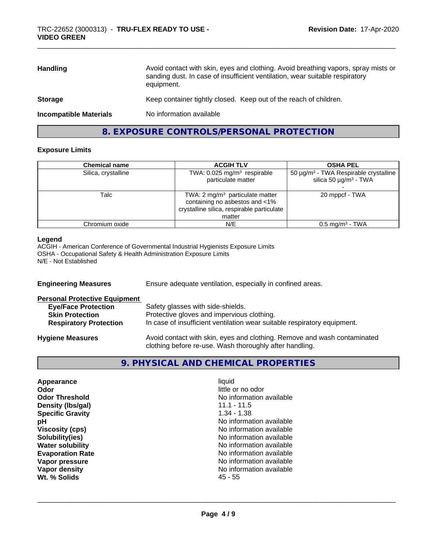| Avoid contact with skin, eyes and clothing. Avoid breathing vapors, spray mists or<br>sanding dust. In case of insufficient ventilation, wear suitable respiratory<br>equipment. |
|----------------------------------------------------------------------------------------------------------------------------------------------------------------------------------|
| Keep container tightly closed. Keep out of the reach of children.                                                                                                                |
| No information available                                                                                                                                                         |
|                                                                                                                                                                                  |

# **8. EXPOSURE CONTROLS/PERSONAL PROTECTION**

## **Exposure Limits**

| <b>Chemical name</b> | <b>ACGIH TLV</b>                                                                                                                     | <b>OSHA PEL</b>                                                                             |
|----------------------|--------------------------------------------------------------------------------------------------------------------------------------|---------------------------------------------------------------------------------------------|
| Silica, crystalline  | TWA: $0.025$ mg/m <sup>3</sup> respirable<br>particulate matter                                                                      | 50 μg/m <sup>3</sup> - TWA Respirable crystalline<br>silica 50 $\mu$ g/m <sup>3</sup> - TWA |
| Talc                 | TWA: $2 \text{ mg/m}^3$ particulate matter<br>containing no asbestos and <1%<br>crystalline silica, respirable particulate<br>matter | 20 mppcf - TWA                                                                              |
| Chromium oxide       | N/E                                                                                                                                  | $0.5$ mg/m <sup>3</sup> - TWA                                                               |

## **Legend**

ACGIH - American Conference of Governmental Industrial Hygienists Exposure Limits OSHA - Occupational Safety & Health Administration Exposure Limits N/E - Not Established

| <b>Engineering Measures</b>          | Ensure adequate ventilation, especially in confined areas.                                                                          |  |  |
|--------------------------------------|-------------------------------------------------------------------------------------------------------------------------------------|--|--|
| <b>Personal Protective Equipment</b> |                                                                                                                                     |  |  |
| <b>Eye/Face Protection</b>           | Safety glasses with side-shields.                                                                                                   |  |  |
| <b>Skin Protection</b>               | Protective gloves and impervious clothing.                                                                                          |  |  |
| <b>Respiratory Protection</b>        | In case of insufficient ventilation wear suitable respiratory equipment.                                                            |  |  |
| <b>Hygiene Measures</b>              | Avoid contact with skin, eyes and clothing. Remove and wash contaminated<br>clothing before re-use. Wash thoroughly after handling. |  |  |

# **9. PHYSICAL AND CHEMICAL PROPERTIES**

| Appearance              | liquid                   |  |
|-------------------------|--------------------------|--|
| Odor                    | little or no odor        |  |
| <b>Odor Threshold</b>   | No information available |  |
| Density (Ibs/gal)       | $11.1 - 11.5$            |  |
| <b>Specific Gravity</b> | 1.34 - 1.38              |  |
| рH                      | No information available |  |
| <b>Viscosity (cps)</b>  | No information available |  |
| Solubility(ies)         | No information available |  |
| <b>Water solubility</b> | No information available |  |
| <b>Evaporation Rate</b> | No information available |  |
| Vapor pressure          | No information available |  |
| Vapor density           | No information available |  |
| Wt. % Solids            | 45 - 55                  |  |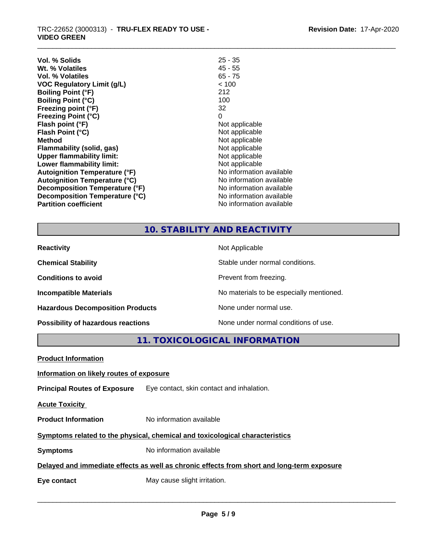| Vol. % Solids                        | $25 - 35$                |
|--------------------------------------|--------------------------|
| Wt. % Volatiles                      | $45 - 55$                |
| <b>Vol. % Volatiles</b>              | $65 - 75$                |
| <b>VOC Regulatory Limit (g/L)</b>    | < 100                    |
| <b>Boiling Point (°F)</b>            | 212                      |
| <b>Boiling Point (°C)</b>            | 100                      |
| Freezing point (°F)                  | 32                       |
| <b>Freezing Point (°C)</b>           | 0                        |
| Flash point (°F)                     | Not applicable           |
| Flash Point (°C)                     | Not applicable           |
| <b>Method</b>                        | Not applicable           |
| Flammability (solid, gas)            | Not applicable           |
| <b>Upper flammability limit:</b>     | Not applicable           |
| Lower flammability limit:            | Not applicable           |
| <b>Autoignition Temperature (°F)</b> | No information available |
| <b>Autoignition Temperature (°C)</b> | No information available |
| Decomposition Temperature (°F)       | No information available |
| Decomposition Temperature (°C)       | No information available |
| <b>Partition coefficient</b>         | No information available |

# **10. STABILITY AND REACTIVITY**

| <b>Reactivity</b>                         | Not Applicable                           |
|-------------------------------------------|------------------------------------------|
| <b>Chemical Stability</b>                 | Stable under normal conditions.          |
| <b>Conditions to avoid</b>                | Prevent from freezing.                   |
| <b>Incompatible Materials</b>             | No materials to be especially mentioned. |
| <b>Hazardous Decomposition Products</b>   | None under normal use.                   |
| <b>Possibility of hazardous reactions</b> | None under normal conditions of use.     |

**11. TOXICOLOGICAL INFORMATION**

| <b>Product Information</b>               |                                                                                            |
|------------------------------------------|--------------------------------------------------------------------------------------------|
| Information on likely routes of exposure |                                                                                            |
|                                          | <b>Principal Routes of Exposure</b> Eye contact, skin contact and inhalation.              |
| <b>Acute Toxicity</b>                    |                                                                                            |
| <b>Product Information</b>               | No information available                                                                   |
|                                          | Symptoms related to the physical, chemical and toxicological characteristics               |
| <b>Symptoms</b>                          | No information available                                                                   |
|                                          | Delayed and immediate effects as well as chronic effects from short and long-term exposure |
| Eye contact                              | May cause slight irritation.                                                               |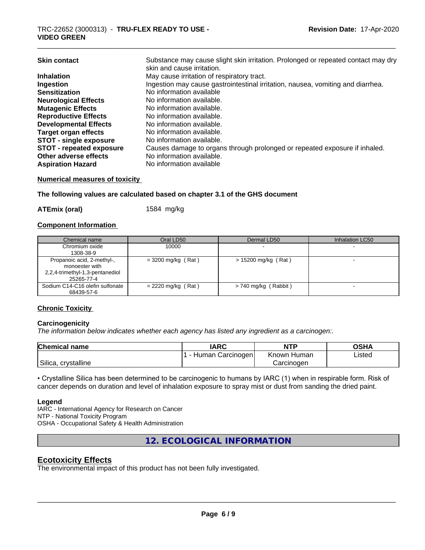| <b>Skin contact</b>           | Substance may cause slight skin irritation. Prolonged or repeated contact may dry<br>skin and cause irritation. |
|-------------------------------|-----------------------------------------------------------------------------------------------------------------|
| <b>Inhalation</b>             | May cause irritation of respiratory tract.                                                                      |
| Ingestion                     | Ingestion may cause gastrointestinal irritation, nausea, vomiting and diarrhea.                                 |
| <b>Sensitization</b>          | No information available                                                                                        |
| <b>Neurological Effects</b>   | No information available.                                                                                       |
| <b>Mutagenic Effects</b>      | No information available.                                                                                       |
| <b>Reproductive Effects</b>   | No information available.                                                                                       |
| <b>Developmental Effects</b>  | No information available.                                                                                       |
| <b>Target organ effects</b>   | No information available.                                                                                       |
| <b>STOT - single exposure</b> | No information available.                                                                                       |
| STOT - repeated exposure      | Causes damage to organs through prolonged or repeated exposure if inhaled.                                      |
| Other adverse effects         | No information available.                                                                                       |
| <b>Aspiration Hazard</b>      | No information available                                                                                        |

# **Numerical measures of toxicity**

#### **The following values are calculated based on chapter 3.1 of the GHS document**

**ATEmix (oral)** 1584 mg/kg

#### **Component Information**

| Chemical name                                                                                 | Oral LD50            | Dermal LD50            | Inhalation LC50 |
|-----------------------------------------------------------------------------------------------|----------------------|------------------------|-----------------|
| Chromium oxide<br>1308-38-9                                                                   | 10000                |                        |                 |
| Propanoic acid, 2-methyl-,<br>monoester with<br>2,2,4-trimethyl-1,3-pentanediol<br>25265-77-4 | $=$ 3200 mg/kg (Rat) | $> 15200$ mg/kg (Rat)  |                 |
| Sodium C14-C16 olefin sulfonate<br>68439-57-6                                                 | $= 2220$ mg/kg (Rat) | $> 740$ mg/kg (Rabbit) |                 |

# **Chronic Toxicity**

#### **Carcinogenicity**

*The information below indicateswhether each agency has listed any ingredient as a carcinogen:.*

| <b>Chemical</b><br>name | <b>IARC</b>         | <b>NTP</b>     | OSHA   |
|-------------------------|---------------------|----------------|--------|
|                         | Human<br>Carcinogen | Known<br>Humar | Listed |
| Silica, crystalline     |                     | Carcinogen     |        |

• Crystalline Silica has been determined to be carcinogenic to humans by IARC (1) when in respirable form. Risk of cancer depends on duration and level of inhalation exposure to spray mist or dust from sanding the dried paint.

#### **Legend**

IARC - International Agency for Research on Cancer NTP - National Toxicity Program OSHA - Occupational Safety & Health Administration

**12. ECOLOGICAL INFORMATION**

# **Ecotoxicity Effects**

The environmental impact of this product has not been fully investigated.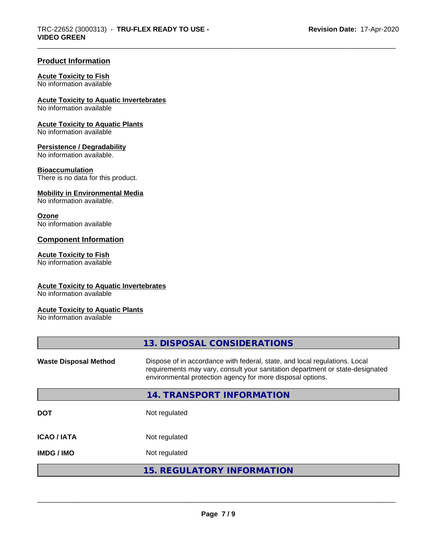# **Product Information**

#### **Acute Toxicity to Fish**

No information available

## **Acute Toxicity to Aquatic Invertebrates**

No information available

### **Acute Toxicity to Aquatic Plants**

No information available

#### **Persistence / Degradability**

No information available.

#### **Bioaccumulation**

There is no data for this product.

## **Mobility in Environmental Media**

No information available.

#### **Ozone**

No information available

# **Component Information**

## **Acute Toxicity to Fish**

No information available

#### **Acute Toxicity to Aquatic Invertebrates**

No information available

# **Acute Toxicity to Aquatic Plants**

No information available

|                              | 13. DISPOSAL CONSIDERATIONS                                                                                                                                                                                               |
|------------------------------|---------------------------------------------------------------------------------------------------------------------------------------------------------------------------------------------------------------------------|
| <b>Waste Disposal Method</b> | Dispose of in accordance with federal, state, and local regulations. Local<br>requirements may vary, consult your sanitation department or state-designated<br>environmental protection agency for more disposal options. |
|                              | 14. TRANSPORT INFORMATION                                                                                                                                                                                                 |
| <b>DOT</b>                   | Not regulated                                                                                                                                                                                                             |
| <b>ICAO/IATA</b>             | Not regulated                                                                                                                                                                                                             |
| <b>IMDG/IMO</b>              | Not regulated                                                                                                                                                                                                             |
|                              | <b>15. REGULATORY INFORMATION</b>                                                                                                                                                                                         |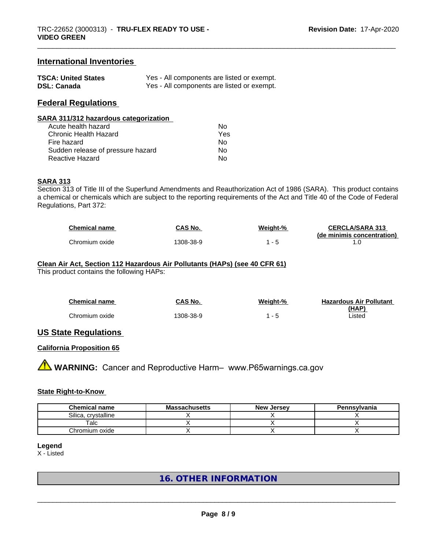# **International Inventories**

| <b>TSCA: United States</b> | Yes - All components are listed or exempt. |
|----------------------------|--------------------------------------------|
| <b>DSL: Canada</b>         | Yes - All components are listed or exempt. |

# **Federal Regulations**

| SARA 311/312 hazardous categorization |     |  |
|---------------------------------------|-----|--|
| Acute health hazard                   | Nο  |  |
| <b>Chronic Health Hazard</b>          | Yes |  |
| Fire hazard                           | Nο  |  |
| Sudden release of pressure hazard     | Nο  |  |
| <b>Reactive Hazard</b>                | No  |  |

#### **SARA 313**

Section 313 of Title III of the Superfund Amendments and Reauthorization Act of 1986 (SARA). This product contains a chemical or chemicals which are subject to the reporting requirements of the Act and Title 40 of the Code of Federal Regulations, Part 372:

| <b>Chemical name</b> | CAS No.  | Weiaht-% | <b>CERCLA/SARA 313</b>     |
|----------------------|----------|----------|----------------------------|
|                      |          |          | (de minimis concentration) |
| Chromium oxide       | 308-38-9 |          |                            |

# **Clean Air Act,Section 112 Hazardous Air Pollutants (HAPs) (see 40 CFR 61)**

This product contains the following HAPs:

| <b>Chemical name</b> | CAS No.   | Weight-% | <b>Hazardous Air Pollutant</b> |
|----------------------|-----------|----------|--------------------------------|
|                      |           |          | (HAP)                          |
| Chromium oxide       | 1308-38-9 |          | ∟isted                         |

## **US State Regulations**

# **California Proposition 65**

**AVIMARNING:** Cancer and Reproductive Harm– www.P65warnings.ca.gov

#### **State Right-to-Know**

| <b>Chemical name</b>  | <b>Massachusetts</b> | <b>New Jersey</b> | Pennsylvania |
|-----------------------|----------------------|-------------------|--------------|
| Silica<br>crystalline |                      |                   |              |
| $\tau$ alc            |                      |                   |              |
| Chromium oxide        |                      |                   |              |

# **Legend**

X - Listed

# **16. OTHER INFORMATION**